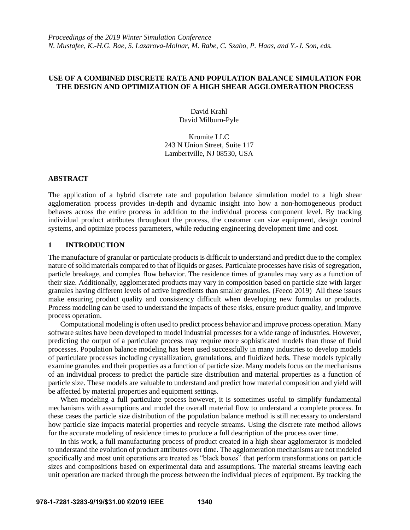## **USE OF A COMBINED DISCRETE RATE AND POPULATION BALANCE SIMULATION FOR THE DESIGN AND OPTIMIZATION OF A HIGH SHEAR AGGLOMERATION PROCESS**

David Krahl David Milburn-Pyle

Kromite LLC 243 N Union Street, Suite 117 Lambertville, NJ 08530, USA

### **ABSTRACT**

The application of a hybrid discrete rate and population balance simulation model to a high shear agglomeration process provides in-depth and dynamic insight into how a non-homogeneous product behaves across the entire process in addition to the individual process component level. By tracking individual product attributes throughout the process, the customer can size equipment, design control systems, and optimize process parameters, while reducing engineering development time and cost.

### **1 INTRODUCTION**

The manufacture of granular or particulate products is difficult to understand and predict due to the complex nature of solid materials compared to that of liquids or gases. Particulate processes have risks of segregation, particle breakage, and complex flow behavior. The residence times of granules may vary as a function of their size. Additionally, agglomerated products may vary in composition based on particle size with larger granules having different levels of active ingredients than smaller granules. (Feeco 2019) All these issues make ensuring product quality and consistency difficult when developing new formulas or products. Process modeling can be used to understand the impacts of these risks, ensure product quality, and improve process operation.

Computational modeling is often used to predict process behavior and improve process operation. Many software suites have been developed to model industrial processes for a wide range of industries. However, predicting the output of a particulate process may require more sophisticated models than those of fluid processes. Population balance modeling has been used successfully in many industries to develop models of particulate processes including crystallization, granulations, and fluidized beds. These models typically examine granules and their properties as a function of particle size. Many models focus on the mechanisms of an individual process to predict the particle size distribution and material properties as a function of particle size. These models are valuable to understand and predict how material composition and yield will be affected by material properties and equipment settings.

When modeling a full particulate process however, it is sometimes useful to simplify fundamental mechanisms with assumptions and model the overall material flow to understand a complete process. In these cases the particle size distribution of the population balance method is still necessary to understand how particle size impacts material properties and recycle streams. Using the discrete rate method allows for the accurate modeling of residence times to produce a full description of the process over time.

In this work, a full manufacturing process of product created in a high shear agglomerator is modeled to understand the evolution of product attributes over time. The agglomeration mechanisms are not modeled specifically and most unit operations are treated as "black boxes" that perform transformations on particle sizes and compositions based on experimental data and assumptions. The material streams leaving each unit operation are tracked through the process between the individual pieces of equipment. By tracking the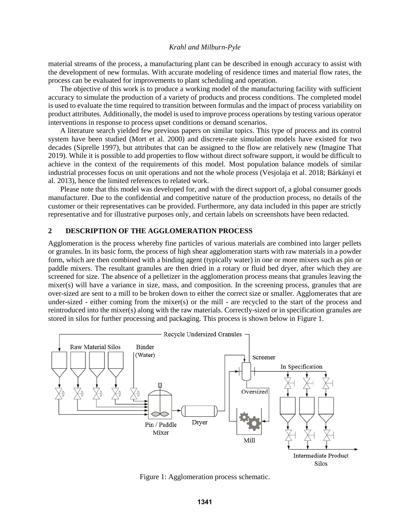material streams of the process, a manufacturing plant can be described in enough accuracy to assist with the development of new formulas. With accurate modeling of residence times and material flow rates, the process can be evaluated for improvements to plant scheduling and operation.

The objective of this work is to produce a working model of the manufacturing facility with sufficient accuracy to simulate the production of a variety of products and process conditions. The completed model is used to evaluate the time required to transition between formulas and the impact of process variability on product attributes. Additionally, the model is used to improve process operations by testing various operator interventions in response to process upset conditions or demand scenarios.

A literature search yielded few previous papers on similar topics. This type of process and its control system have been studied (Mort et al. 2000) and discrete-rate simulation models have existed for two decades (Siprelle 1997), but attributes that can be assigned to the flow are relatively new (Imagine That 2019). While it is possible to add properties to flow without direct software support, it would be difficult to achieve in the context of the requirements of this model. Most population balance models of similar industrial processes focus on unit operations and not the whole process (Vesjolaja et al. 2018; Bárkányi et al. 2013), hence the limited references to related work.

Please note that this model was developed for, and with the direct support of, a global consumer goods manufacturer. Due to the confidential and competitive nature of the production process, no details of the customer or their representatives can be provided. Furthermore, any data included in this paper are strictly representative and for illustrative purposes only, and certain labels on screenshots have been redacted.

### **2 DESCRIPTION OF THE AGGLOMERATION PROCESS**

Agglomeration is the process whereby fine particles of various materials are combined into larger pellets or granules. In its basic form, the process of high shear agglomeration starts with raw materials in a powder form, which are then combined with a binding agent (typically water) in one or more mixers such as pin or paddle mixers. The resultant granules are then dried in a rotary or fluid bed dryer, after which they are screened for size. The absence of a pelletizer in the agglomeration process means that granules leaving the mixer(s) will have a variance in size, mass, and composition. In the screening process, granules that are over-sized are sent to a mill to be broken down to either the correct size or smaller. Agglomerates that are under-sized - either coming from the mixer(s) or the mill - are recycled to the start of the process and reintroduced into the mixer(s) along with the raw materials. Correctly-sized or in specification granules are stored in silos for further processing and packaging. This process is shown below in [Figure 1.](#page-1-0)



<span id="page-1-0"></span>Figure 1: Agglomeration process schematic.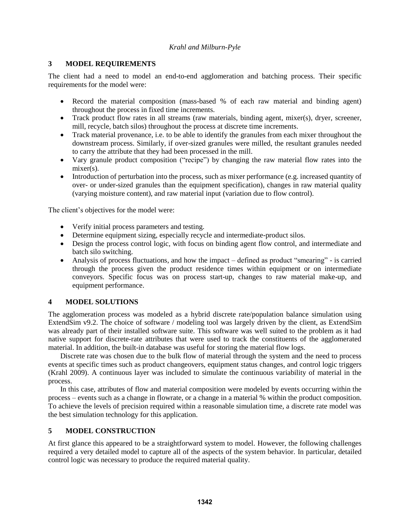### **3 MODEL REQUIREMENTS**

The client had a need to model an end-to-end agglomeration and batching process. Their specific requirements for the model were:

- Record the material composition (mass-based % of each raw material and binding agent) throughout the process in fixed time increments.
- Track product flow rates in all streams (raw materials, binding agent, mixer(s), dryer, screener, mill, recycle, batch silos) throughout the process at discrete time increments.
- Track material provenance, i.e. to be able to identify the granules from each mixer throughout the downstream process. Similarly, if over-sized granules were milled, the resultant granules needed to carry the attribute that they had been processed in the mill.
- Vary granule product composition ("recipe") by changing the raw material flow rates into the mixer(s).
- Introduction of perturbation into the process, such as mixer performance (e.g. increased quantity of over- or under-sized granules than the equipment specification), changes in raw material quality (varying moisture content), and raw material input (variation due to flow control).

The client's objectives for the model were:

- Verify initial process parameters and testing.
- Determine equipment sizing, especially recycle and intermediate-product silos.
- Design the process control logic, with focus on binding agent flow control, and intermediate and batch silo switching.
- Analysis of process fluctuations, and how the impact defined as product "smearing" is carried through the process given the product residence times within equipment or on intermediate conveyors. Specific focus was on process start-up, changes to raw material make-up, and equipment performance.

## **4 MODEL SOLUTIONS**

The agglomeration process was modeled as a hybrid discrete rate/population balance simulation using ExtendSim v9.2. The choice of software / modeling tool was largely driven by the client, as ExtendSim was already part of their installed software suite. This software was well suited to the problem as it had native support for discrete-rate attributes that were used to track the constituents of the agglomerated material. In addition, the built-in database was useful for storing the material flow logs.

Discrete rate was chosen due to the bulk flow of material through the system and the need to process events at specific times such as product changeovers, equipment status changes, and control logic triggers (Krahl 2009). A continuous layer was included to simulate the continuous variability of material in the process.

In this case, attributes of flow and material composition were modeled by events occurring within the process – events such as a change in flowrate, or a change in a material % within the product composition. To achieve the levels of precision required within a reasonable simulation time, a discrete rate model was the best simulation technology for this application.

## **5 MODEL CONSTRUCTION**

At first glance this appeared to be a straightforward system to model. However, the following challenges required a very detailed model to capture all of the aspects of the system behavior. In particular, detailed control logic was necessary to produce the required material quality.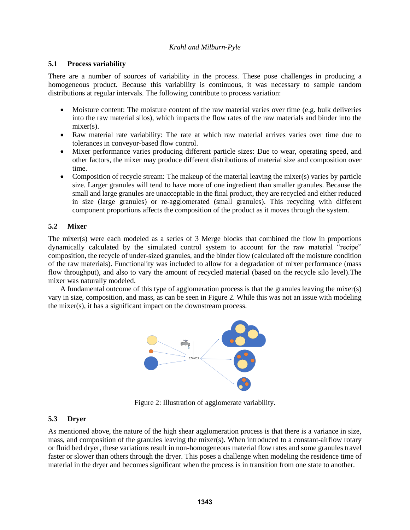#### **5.1 Process variability**

There are a number of sources of variability in the process. These pose challenges in producing a homogeneous product. Because this variability is continuous, it was necessary to sample random distributions at regular intervals. The following contribute to process variation:

- Moisture content: The moisture content of the raw material varies over time (e.g. bulk deliveries into the raw material silos), which impacts the flow rates of the raw materials and binder into the mixer(s).
- Raw material rate variability: The rate at which raw material arrives varies over time due to tolerances in conveyor-based flow control.
- Mixer performance varies producing different particle sizes: Due to wear, operating speed, and other factors, the mixer may produce different distributions of material size and composition over time.
- Composition of recycle stream: The makeup of the material leaving the mixer(s) varies by particle size. Larger granules will tend to have more of one ingredient than smaller granules. Because the small and large granules are unacceptable in the final product, they are recycled and either reduced in size (large granules) or re-agglomerated (small granules). This recycling with different component proportions affects the composition of the product as it moves through the system.

# **5.2 Mixer**

The mixer(s) were each modeled as a series of 3 Merge blocks that combined the flow in proportions dynamically calculated by the simulated control system to account for the raw material "recipe" composition, the recycle of under-sized granules, and the binder flow (calculated off the moisture condition of the raw materials). Functionality was included to allow for a degradation of mixer performance (mass flow throughput), and also to vary the amount of recycled material (based on the recycle silo level).The mixer was naturally modeled.

A fundamental outcome of this type of agglomeration process is that the granules leaving the mixer(s) vary in size, composition, and mass, as can be seen in [Figure 2.](#page-3-0) While this was not an issue with modeling the mixer(s), it has a significant impact on the downstream process.



Figure 2: Illustration of agglomerate variability.

## <span id="page-3-0"></span>**5.3 Dryer**

As mentioned above, the nature of the high shear agglomeration process is that there is a variance in size, mass, and composition of the granules leaving the mixer(s). When introduced to a constant-airflow rotary or fluid bed dryer, these variations result in non-homogeneous material flow rates and some granules travel faster or slower than others through the dryer. This poses a challenge when modeling the residence time of material in the dryer and becomes significant when the process is in transition from one state to another.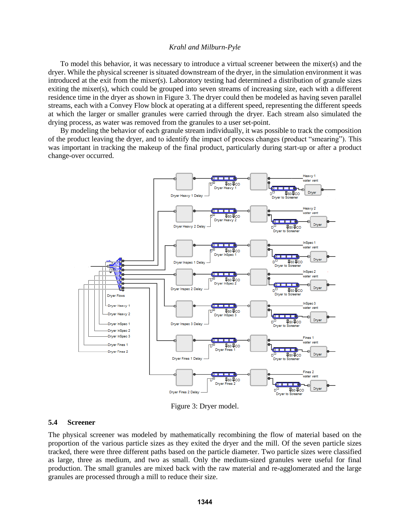To model this behavior, it was necessary to introduce a virtual screener between the mixer(s) and the dryer. While the physical screener is situated downstream of the dryer, in the simulation environment it was introduced at the exit from the mixer(s). Laboratory testing had determined a distribution of granule sizes exiting the mixer(s), which could be grouped into seven streams of increasing size, each with a different residence time in the dryer as shown in [Figure 3.](#page-4-0) The dryer could then be modeled as having seven parallel streams, each with a Convey Flow block at operating at a different speed, representing the different speeds at which the larger or smaller granules were carried through the dryer. Each stream also simulated the drying process, as water was removed from the granules to a user set-point.

By modeling the behavior of each granule stream individually, it was possible to track the composition of the product leaving the dryer, and to identify the impact of process changes (product "smearing"). This was important in tracking the makeup of the final product, particularly during start-up or after a product change-over occurred.



Figure 3: Dryer model.

#### <span id="page-4-0"></span>**5.4 Screener**

The physical screener was modeled by mathematically recombining the flow of material based on the proportion of the various particle sizes as they exited the dryer and the mill. Of the seven particle sizes tracked, there were three different paths based on the particle diameter. Two particle sizes were classified as large, three as medium, and two as small. Only the medium-sized granules were useful for final production. The small granules are mixed back with the raw material and re-agglomerated and the large granules are processed through a mill to reduce their size.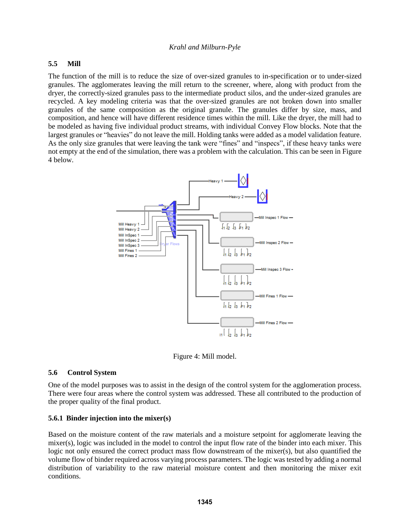### **5.5 Mill**

The function of the mill is to reduce the size of over-sized granules to in-specification or to under-sized granules. The agglomerates leaving the mill return to the screener, where, along with product from the dryer, the correctly-sized granules pass to the intermediate product silos, and the under-sized granules are recycled. A key modeling criteria was that the over-sized granules are not broken down into smaller granules of the same composition as the original granule. The granules differ by size, mass, and composition, and hence will have different residence times within the mill. Like the dryer, the mill had to be modeled as having five individual product streams, with individual Convey Flow blocks. Note that the largest granules or "heavies" do not leave the mill. Holding tanks were added as a model validation feature. As the only size granules that were leaving the tank were "fines" and "inspecs", if these heavy tanks were not empty at the end of the simulation, there was a problem with the calculation. This can be seen in [Figure](#page-5-0)  [4](#page-5-0) below.



Figure 4: Mill model.

## <span id="page-5-0"></span>**5.6 Control System**

One of the model purposes was to assist in the design of the control system for the agglomeration process. There were four areas where the control system was addressed. These all contributed to the production of the proper quality of the final product.

#### **5.6.1 Binder injection into the mixer(s)**

Based on the moisture content of the raw materials and a moisture setpoint for agglomerate leaving the mixer(s), logic was included in the model to control the input flow rate of the binder into each mixer. This logic not only ensured the correct product mass flow downstream of the mixer(s), but also quantified the volume flow of binder required across varying process parameters. The logic was tested by adding a normal distribution of variability to the raw material moisture content and then monitoring the mixer exit conditions.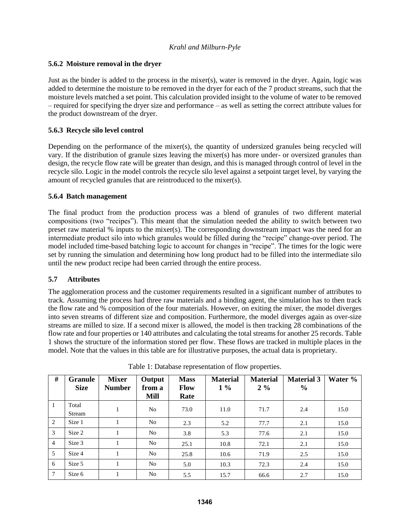# **5.6.2 Moisture removal in the dryer**

Just as the binder is added to the process in the mixer(s), water is removed in the dryer. Again, logic was added to determine the moisture to be removed in the dryer for each of the 7 product streams, such that the moisture levels matched a set point. This calculation provided insight to the volume of water to be removed – required for specifying the dryer size and performance – as well as setting the correct attribute values for the product downstream of the dryer.

# **5.6.3 Recycle silo level control**

Depending on the performance of the mixer $(s)$ , the quantity of undersized granules being recycled will vary. If the distribution of granule sizes leaving the mixer(s) has more under- or oversized granules than design, the recycle flow rate will be greater than design, and this is managed through control of level in the recycle silo. Logic in the model controls the recycle silo level against a setpoint target level, by varying the amount of recycled granules that are reintroduced to the mixer(s).

## **5.6.4 Batch management**

The final product from the production process was a blend of granules of two different material compositions (two "recipes"). This meant that the simulation needed the ability to switch between two preset raw material % inputs to the mixer(s). The corresponding downstream impact was the need for an intermediate product silo into which granules would be filled during the "recipe" change-over period. The model included time-based batching logic to account for changes in "recipe". The times for the logic were set by running the simulation and determining how long product had to be filled into the intermediate silo until the new product recipe had been carried through the entire process.

## **5.7 Attributes**

The agglomeration process and the customer requirements resulted in a significant number of attributes to track. Assuming the process had three raw materials and a binding agent, the simulation has to then track the flow rate and % composition of the four materials. However, on exiting the mixer, the model diverges into seven streams of different size and composition. Furthermore, the model diverges again as over-size streams are milled to size. If a second mixer is allowed, the model is then tracking 28 combinations of the flow rate and four properties or 140 attributes and calculating the total streams for another 25 records. [Table](#page-6-0)  [1](#page-6-0) shows the structure of the information stored per flow. These flows are tracked in multiple places in the model. Note that the values in this table are for illustrative purposes, the actual data is proprietary.

<span id="page-6-0"></span>

| #              | <b>Granule</b><br><b>Size</b> | <b>Mixer</b><br><b>Number</b> | Output<br>from a<br>Mill | <b>Mass</b><br><b>Flow</b><br>Rate | <b>Material</b><br>$1\%$ | <b>Material</b><br>$2\%$ | <b>Material 3</b><br>$\frac{0}{0}$ | Water % |
|----------------|-------------------------------|-------------------------------|--------------------------|------------------------------------|--------------------------|--------------------------|------------------------------------|---------|
| 1              | Total<br>Stream               |                               | N <sub>0</sub>           | 73.0                               | 11.0                     | 71.7                     | 2.4                                | 15.0    |
| 2              | Size 1                        |                               | N <sub>o</sub>           | 2.3                                | 5.2                      | 77.7                     | 2.1                                | 15.0    |
| 3              | Size 2                        |                               | N <sub>0</sub>           | 3.8                                | 5.3                      | 77.6                     | 2.1                                | 15.0    |
| $\overline{4}$ | Size 3                        |                               | N <sub>0</sub>           | 25.1                               | 10.8                     | 72.1                     | 2.1                                | 15.0    |
| 5              | Size 4                        |                               | N <sub>0</sub>           | 25.8                               | 10.6                     | 71.9                     | 2.5                                | 15.0    |
| 6              | Size 5                        |                               | N <sub>0</sub>           | 5.0                                | 10.3                     | 72.3                     | 2.4                                | 15.0    |
| 7              | Size 6                        |                               | N <sub>o</sub>           | 5.5                                | 15.7                     | 66.6                     | 2.7                                | 15.0    |

Table 1: Database representation of flow properties.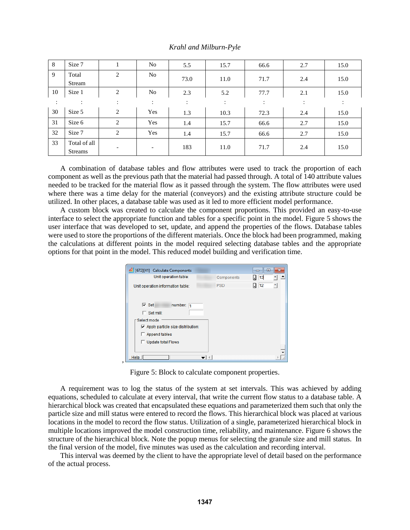| 8  | Size 7                         |                | No                       | 5.5     | 15.7 | 66.6            | 2.7 | 15.0 |
|----|--------------------------------|----------------|--------------------------|---------|------|-----------------|-----|------|
| 9  | Total<br>Stream                | 2              | No                       | 73.0    | 11.0 | 71.7            | 2.4 | 15.0 |
| 10 | Size 1                         | $\overline{2}$ | No                       | 2.3     | 5.2  | 77.7            | 2.1 | 15.0 |
|    | $\cdot$                        | $\cdot$        | ۰                        | $\cdot$ | :    | ٠<br>$\epsilon$ |     |      |
| 30 | Size 5                         | 2              | Yes                      | 1.3     | 10.3 | 72.3            | 2.4 | 15.0 |
| 31 | Size 6                         | 2              | Yes                      | 1.4     | 15.7 | 66.6            | 2.7 | 15.0 |
| 32 | Size 7                         | 2              | Yes                      | 1.4     | 15.7 | 66.6            | 2.7 | 15.0 |
| 33 | Total of all<br><b>Streams</b> |                | $\overline{\phantom{0}}$ | 183     | 11.0 | 71.7            | 2.4 | 15.0 |

A combination of database tables and flow attributes were used to track the proportion of each component as well as the previous path that the material had passed through. A total of 140 attribute values needed to be tracked for the material flow as it passed through the system. The flow attributes were used where there was a time delay for the material (conveyors) and the existing attribute structure could be utilized. In other places, a database table was used as it led to more efficient model performance.

A custom block was created to calculate the component proportions. This provided an easy-to-use interface to select the appropriate function and tables for a specific point in the model. [Figure 5](#page-7-0) shows the user interface that was developed to set, update, and append the properties of the flows. Database tables were used to store the proportions of the different materials. Once the block had been programmed, making the calculations at different points in the model required selecting database tables and the appropriate options for that point in the model. This reduced model building and verification time.

| [672][41] Calculate Components             |            | ×<br>同<br>0 |
|--------------------------------------------|------------|-------------|
| Unit operation table:                      | Components | 13          |
| Unit operation information table:          | <b>PSD</b> | 12<br>IJ    |
|                                            |            |             |
| $\nabla$ Set<br>number:<br>l1              |            |             |
| $\Box$ Set mill:                           |            |             |
| Select mode                                |            |             |
| $\nabla$ Apply particle size distribution: |            |             |
| $\Box$ Append tables                       |            |             |
| Update total Flows                         |            |             |
|                                            |            |             |
| Help                                       |            |             |

Figure 5: Block to calculate component properties.

<span id="page-7-0"></span>A requirement was to log the status of the system at set intervals. This was achieved by adding equations, scheduled to calculate at every interval, that write the current flow status to a database table. A hierarchical block was created that encapsulated these equations and parameterized them such that only the particle size and mill status were entered to record the flows. This hierarchical block was placed at various locations in the model to record the flow status. Utilization of a single, parameterized hierarchical block in multiple locations improved the model construction time, reliability, and maintenance. [Figure 6](#page-8-0) shows the structure of the hierarchical block. Note the popup menus for selecting the granule size and mill status. In the final version of the model, five minutes was used as the calculation and recording interval.

This interval was deemed by the client to have the appropriate level of detail based on the performance of the actual process.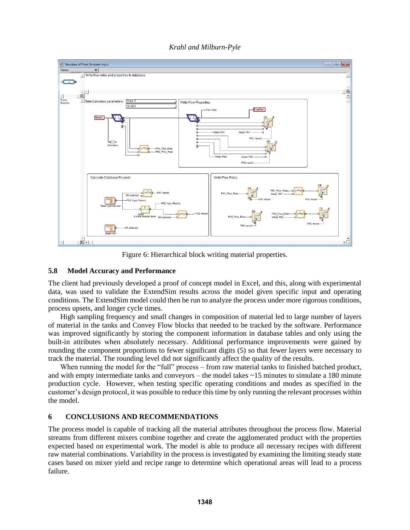*Krahl and Milburn-Pyle*



Figure 6: Hierarchical block writing material properties.

## <span id="page-8-0"></span>**5.8 Model Accuracy and Performance**

The client had previously developed a proof of concept model in Excel, and this, along with experimental data, was used to validate the ExtendSim results across the model given specific input and operating conditions. The ExtendSim model could then be run to analyze the process under more rigorous conditions, process upsets, and longer cycle times.

High sampling frequency and small changes in composition of material led to large number of layers of material in the tanks and Convey Flow blocks that needed to be tracked by the software. Performance was improved significantly by storing the component information in database tables and only using the built-in attributes when absolutely necessary. Additional performance improvements were gained by rounding the component proportions to fewer significant digits (5) so that fewer layers were necessary to track the material. The rounding level did not significantly affect the quality of the results.

When running the model for the "full" process – from raw material tanks to finished batched product, and with empty intermediate tanks and conveyors – the model takes ~15 minutes to simulate a 180 minute production cycle. However, when testing specific operating conditions and modes as specified in the customer's design protocol, it was possible to reduce this time by only running the relevant processes within the model.

## **6 CONCLUSIONS AND RECOMMENDATIONS**

The process model is capable of tracking all the material attributes throughout the process flow. Material streams from different mixers combine together and create the agglomerated product with the properties expected based on experimental work. The model is able to produce all necessary recipes with different raw material combinations. Variability in the process is investigated by examining the limiting steady state cases based on mixer yield and recipe range to determine which operational areas will lead to a process failure.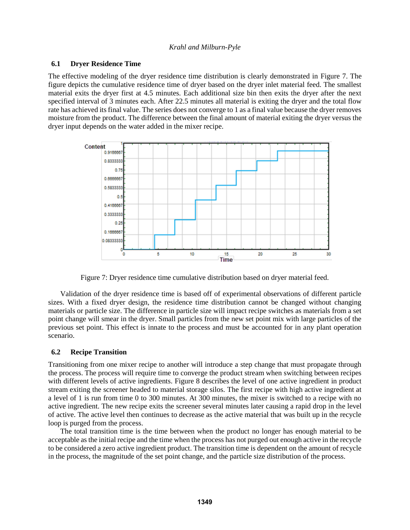#### **6.1 Dryer Residence Time**

The effective modeling of the dryer residence time distribution is clearly demonstrated in [Figure 7.](#page-9-0) The figure depicts the cumulative residence time of dryer based on the dryer inlet material feed. The smallest material exits the dryer first at 4.5 minutes. Each additional size bin then exits the dryer after the next specified interval of 3 minutes each. After 22.5 minutes all material is exiting the dryer and the total flow rate has achieved its final value. The series does not converge to 1 as a final value because the dryer removes moisture from the product. The difference between the final amount of material exiting the dryer versus the dryer input depends on the water added in the mixer recipe.



Figure 7: Dryer residence time cumulative distribution based on dryer material feed.

<span id="page-9-0"></span>Validation of the dryer residence time is based off of experimental observations of different particle sizes. With a fixed dryer design, the residence time distribution cannot be changed without changing materials or particle size. The difference in particle size will impact recipe switches as materials from a set point change will smear in the dryer. Small particles from the new set point mix with large particles of the previous set point. This effect is innate to the process and must be accounted for in any plant operation scenario.

## **6.2 Recipe Transition**

Transitioning from one mixer recipe to another will introduce a step change that must propagate through the process. The process will require time to converge the product stream when switching between recipes with different levels of active ingredients. [Figure 8](#page-10-0) describes the level of one active ingredient in product stream exiting the screener headed to material storage silos. The first recipe with high active ingredient at a level of 1 is run from time 0 to 300 minutes. At 300 minutes, the mixer is switched to a recipe with no active ingredient. The new recipe exits the screener several minutes later causing a rapid drop in the level of active. The active level then continues to decrease as the active material that was built up in the recycle loop is purged from the process.

The total transition time is the time between when the product no longer has enough material to be acceptable as the initial recipe and the time when the process has not purged out enough active in the recycle to be considered a zero active ingredient product. The transition time is dependent on the amount of recycle in the process, the magnitude of the set point change, and the particle size distribution of the process.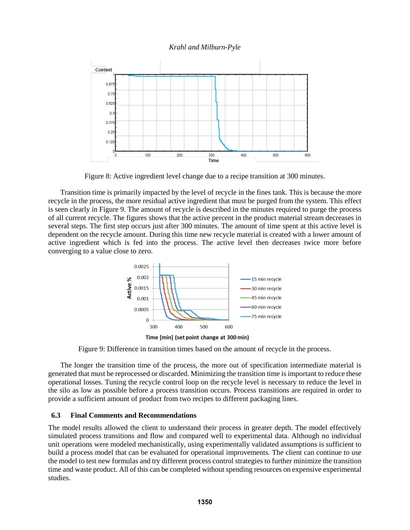

Figure 8: Active ingredient level change due to a recipe transition at 300 minutes.

<span id="page-10-0"></span>Transition time is primarily impacted by the level of recycle in the fines tank. This is because the more recycle in the process, the more residual active ingredient that must be purged from the system. This effect is seen clearly in [Figure 9.](#page-10-1) The amount of recycle is described in the minutes required to purge the process of all current recycle. The figures shows that the active percent in the product material stream decreases in several steps. The first step occurs just after 300 minutes. The amount of time spent at this active level is dependent on the recycle amount. During this time new recycle material is created with a lower amount of active ingredient which is fed into the process. The active level then decreases twice more before converging to a value close to zero.



Time [min] (set point change at 300 min)

Figure 9: Difference in transition times based on the amount of recycle in the process.

<span id="page-10-1"></span>The longer the transition time of the process, the more out of specification intermediate material is generated that must be reprocessed or discarded. Minimizing the transition time is important to reduce these operational losses. Tuning the recycle control loop on the recycle level is necessary to reduce the level in the silo as low as possible before a process transition occurs. Process transitions are required in order to provide a sufficient amount of product from two recipes to different packaging lines.

#### **6.3 Final Comments and Recommendations**

The model results allowed the client to understand their process in greater depth. The model effectively simulated process transitions and flow and compared well to experimental data. Although no individual unit operations were modeled mechanistically, using experimentally validated assumptions is sufficient to build a process model that can be evaluated for operational improvements. The client can continue to use the model to test new formulas and try different process control strategies to further minimize the transition time and waste product. All of this can be completed without spending resources on expensive experimental studies.